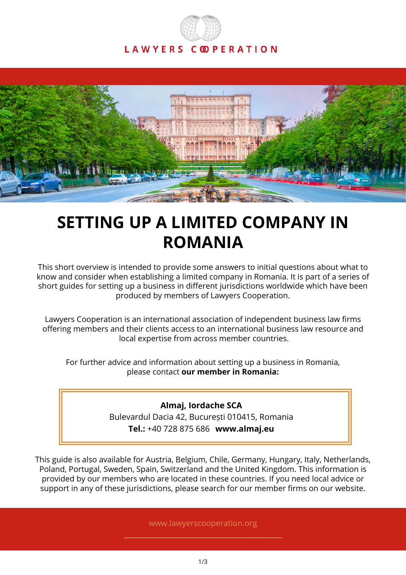



# **SETTING UP A LIMITED COMPANY IN ROMANIA**

This short overview is intended to provide some answers to initial questions about what to know and consider when establishing a limited company in Romania. It is part of a series of short guides for setting up a business in different jurisdictions worldwide which have been produced by members of Lawyers Cooperation.

Lawyers Cooperation is an international association of independent business law firms offering members and their clients access to an international business law resource and local expertise from across member countries.

For further advice and information about setting up a business in Romania, please contact **our member in Romania:**

> **Almaj, Iordache SCA** Bulevardul Dacia 42, București 010415, Romania **Tel.:** +40 728 875 686 **www.almaj.eu**

This guide is also available for Austria, Belgium, Chile, Germany, Hungary, Italy, Netherlands, Poland, Portugal, Sweden, Spain, Switzerland and the United Kingdom. This information is provided by our members who are located in these countries. If you need local advice or support in any of these jurisdictions, please search for our member firms on our website.

www.lawyerscooperation.org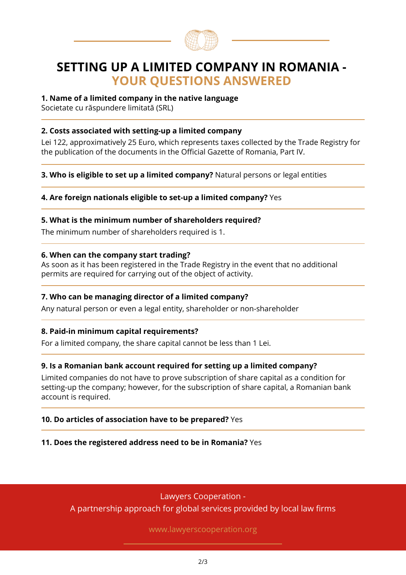

# **SETTING UP A LIMITED COMPANY IN ROMANIA - YOUR QUESTIONS ANSWERED**

#### **1. Name of a limited company in the native language**

Societate cu răspundere limitată (SRL)

#### **2. Costs associated with setting-up a limited company**

Lei 122, approximatively 25 Euro, which represents taxes collected by the Trade Registry for the publication of the documents in the Official Gazette of Romania, Part IV.

**3. Who is eligible to set up a limited company?** Natural persons or legal entities

#### **4. Are foreign nationals eligible to set-up a limited company?** Yes

#### **5. What is the minimum number of shareholders required?**

The minimum number of shareholders required is 1.

#### **6. When can the company start trading?**

As soon as it has been registered in the Trade Registry in the event that no additional permits are required for carrying out of the object of activity.

# **7. Who can be managing director of a limited company?**

Any natural person or even a legal entity, shareholder or non-shareholder

# **8. Paid-in minimum capital requirements?**

For a limited company, the share capital cannot be less than 1 Lei.

# **9. Is a Romanian bank account required for setting up a limited company?**

Limited companies do not have to prove subscription of share capital as a condition for setting-up the company; however, for the subscription of share capital, a Romanian bank account is required.

#### **10. Do articles of association have to be prepared?** Yes

**11. Does the registered address need to be in Romania?** Yes

Lawyers Cooperation - A partnership approach for global services provided by local law firms

www.lawyerscooperation.org